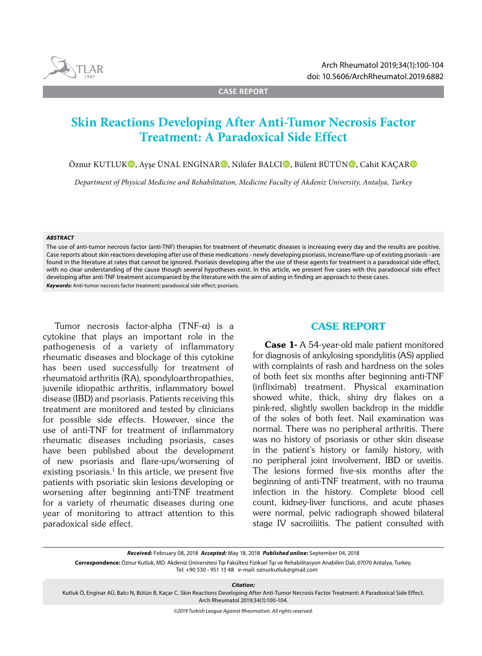

**CASE REPORT**

# **Skin Reactions Developing After Anti-Tumor Necrosis Factor Treatment: A Paradoxical Side Effect**

Öznur KUTLUKO, Ayşe ÜNAL ENGİNARO, Nilüfer BALCIO, Bülent BÜTÜNO, Cahit KACARO

*Department of Physical Medicine and Rehabilitation, Medicine Faculty of Akdeniz University, Antalya, Turkey*

#### *ABSTRACT*

The use of anti-tumor necrosis factor (anti-TNF) therapies for treatment of rheumatic diseases is increasing every day and the results are positive. Case reports about skin reactions developing after use of these medications - newly developing psoriasis, increase/flare-up of existing psoriasis - are found in the literature at rates that cannot be ignored. Psoriasis developing after the use of these agents for treatment is a paradoxical side effect, with no clear understanding of the cause though several hypotheses exist. In this article, we present five cases with this paradoxical side effect developing after anti-TNF treatment accompanied by the literature with the aim of aiding in finding an approach to these cases. *Keywords:* Anti-tumor necrosis factor treatment; paradoxical side effect; psoriasis.

Tumor necrosis factor-alpha  $(TNF-\alpha)$  is a cytokine that plays an important role in the pathogenesis of a variety of inflammatory rheumatic diseases and blockage of this cytokine has been used successfully for treatment of rheumatoid arthritis (RA), spondyloarthropathies, juvenile idiopathic arthritis, inflammatory bowel disease (IBD) and psoriasis. Patients receiving this treatment are monitored and tested by clinicians for possible side effects. However, since the use of anti-TNF for treatment of inflammatory rheumatic diseases including psoriasis, cases have been published about the development of new psoriasis and flare-ups/worsening of existing psoriasis. $1$  In this article, we present five patients with psoriatic skin lesions developing or worsening after beginning anti-TNF treatment for a variety of rheumatic diseases during one year of monitoring to attract attention to this paradoxical side effect.

# CASE REPORT

Case 1- A 54-year-old male patient monitored for diagnosis of ankylosing spondylitis (AS) applied with complaints of rash and hardness on the soles of both feet six months after beginning anti-TNF (infliximab) treatment. Physical examination showed white, thick, shiny dry flakes on a pink-red, slightly swollen backdrop in the middle of the soles of both feet. Nail examination was normal. There was no peripheral arthritis. There was no history of psoriasis or other skin disease in the patient's history or family history, with no peripheral joint involvement, IBD or uveitis. The lesions formed five-six months after the beginning of anti-TNF treatment, with no trauma infection in the history. Complete blood cell count, kidney-liver functions, and acute phases were normal, pelvic radiograph showed bilateral stage IV sacroiliitis. The patient consulted with

*Received:* February 08, 2018 *Accepted:* May 18, 2018 *Published online:* September 04, 2018

**Correspondence:** Öznur Kutluk, MD. Akdeniz Üniversitesi Tıp Fakültesi Fiziksel Tıp ve Rehabilitasyon Anabilim Dalı, 07070 Antalya, Turkey. Tel: +90 530 - 951 15 48 e-mail: oznurkutluk@gmail.com

*Citation:*

Kutluk Ö, Enginar AÜ, Balcı N, Bütün B, Kaçar C. Skin Reactions Developing After Anti-Tumor Necrosis Factor Treatment: A Paradoxical Side Effect. Arch Rheumatol 2019;34(1):100-104.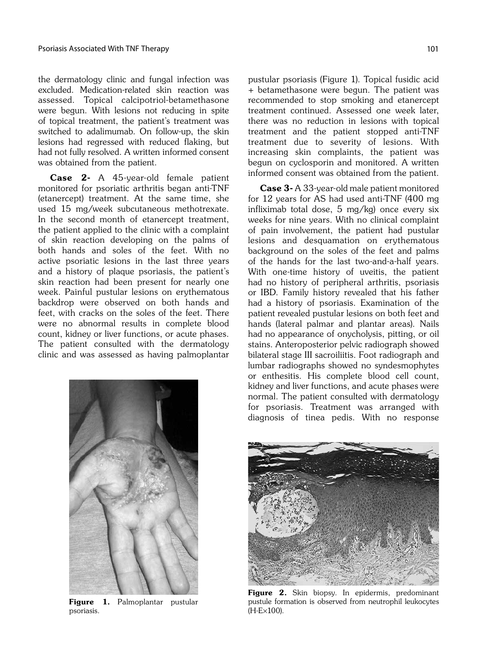the dermatology clinic and fungal infection was excluded. Medication-related skin reaction was assessed. Topical calcipotriol-betamethasone were begun. With lesions not reducing in spite of topical treatment, the patient's treatment was switched to adalimumab. On follow-up, the skin lesions had regressed with reduced flaking, but had not fully resolved. A written informed consent was obtained from the patient.

Case 2- A 45-year-old female patient monitored for psoriatic arthritis began anti-TNF (etanercept) treatment. At the same time, she used 15 mg/week subcutaneous methotrexate. In the second month of etanercept treatment, the patient applied to the clinic with a complaint of skin reaction developing on the palms of both hands and soles of the feet. With no active psoriatic lesions in the last three years and a history of plaque psoriasis, the patient's skin reaction had been present for nearly one week. Painful pustular lesions on erythematous backdrop were observed on both hands and feet, with cracks on the soles of the feet. There were no abnormal results in complete blood count, kidney or liver functions, or acute phases. The patient consulted with the dermatology clinic and was assessed as having palmoplantar pustular psoriasis (Figure 1). Topical fusidic acid + betamethasone were begun. The patient was recommended to stop smoking and etanercept treatment continued. Assessed one week later, there was no reduction in lesions with topical treatment and the patient stopped anti-TNF treatment due to severity of lesions. With increasing skin complaints, the patient was begun on cyclosporin and monitored. A written informed consent was obtained from the patient.

Case 3- A 33-year-old male patient monitored for 12 years for AS had used anti-TNF (400 mg infliximab total dose, 5 mg/kg) once every six weeks for nine years. With no clinical complaint of pain involvement, the patient had pustular lesions and desquamation on erythematous background on the soles of the feet and palms of the hands for the last two-and-a-half years. With one-time history of uveitis, the patient had no history of peripheral arthritis, psoriasis or IBD. Family history revealed that his father had a history of psoriasis. Examination of the patient revealed pustular lesions on both feet and hands (lateral palmar and plantar areas). Nails had no appearance of onycholysis, pitting, or oil stains. Anteroposterior pelvic radiograph showed bilateral stage III sacroiliitis. Foot radiograph and lumbar radiographs showed no syndesmophytes or enthesitis. His complete blood cell count, kidney and liver functions, and acute phases were normal. The patient consulted with dermatology for psoriasis. Treatment was arranged with diagnosis of tinea pedis. With no response



Figure 1. Palmoplantar pustular psoriasis.



Figure 2. Skin biopsy. In epidermis, predominant pustule formation is observed from neutrophil leukocytes (H-E¥100).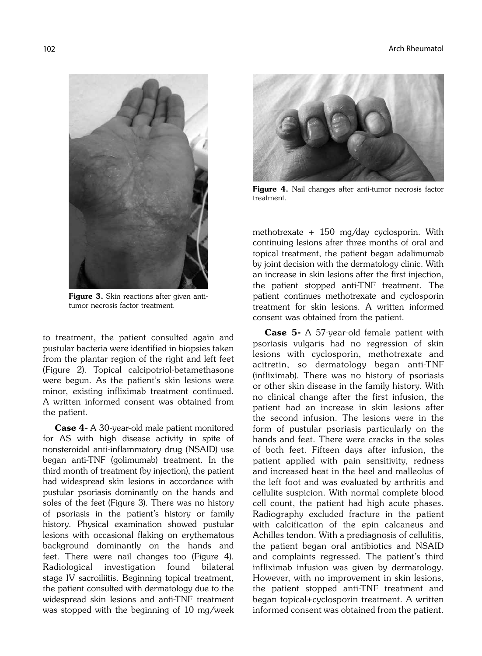

Figure 3. Skin reactions after given antitumor necrosis factor treatment.

to treatment, the patient consulted again and pustular bacteria were identified in biopsies taken from the plantar region of the right and left feet (Figure 2). Topical calcipotriol-betamethasone were begun. As the patient's skin lesions were minor, existing infliximab treatment continued. A written informed consent was obtained from the patient.

Case 4- A 30-year-old male patient monitored for AS with high disease activity in spite of nonsteroidal anti-inflammatory drug (NSAID) use began anti-TNF (golimumab) treatment. In the third month of treatment (by injection), the patient had widespread skin lesions in accordance with pustular psoriasis dominantly on the hands and soles of the feet (Figure 3). There was no history of psoriasis in the patient's history or family history. Physical examination showed pustular lesions with occasional flaking on erythematous background dominantly on the hands and feet. There were nail changes too (Figure 4). Radiological investigation found bilateral stage IV sacroiliitis. Beginning topical treatment, the patient consulted with dermatology due to the widespread skin lesions and anti-TNF treatment was stopped with the beginning of 10 mg/week



Figure 4. Nail changes after anti-tumor necrosis factor treatment.

methotrexate + 150 mg/day cyclosporin. With continuing lesions after three months of oral and topical treatment, the patient began adalimumab by joint decision with the dermatology clinic. With an increase in skin lesions after the first injection, the patient stopped anti-TNF treatment. The patient continues methotrexate and cyclosporin treatment for skin lesions. A written informed consent was obtained from the patient.

Case 5- A 57-year-old female patient with psoriasis vulgaris had no regression of skin lesions with cyclosporin, methotrexate and acitretin, so dermatology began anti-TNF (infliximab). There was no history of psoriasis or other skin disease in the family history. With no clinical change after the first infusion, the patient had an increase in skin lesions after the second infusion. The lesions were in the form of pustular psoriasis particularly on the hands and feet. There were cracks in the soles of both feet. Fifteen days after infusion, the patient applied with pain sensitivity, redness and increased heat in the heel and malleolus of the left foot and was evaluated by arthritis and cellulite suspicion. With normal complete blood cell count, the patient had high acute phases. Radiography excluded fracture in the patient with calcification of the epin calcaneus and Achilles tendon. With a prediagnosis of cellulitis, the patient began oral antibiotics and NSAID and complaints regressed. The patient's third infliximab infusion was given by dermatology. However, with no improvement in skin lesions, the patient stopped anti-TNF treatment and began topical+cyclosporin treatment. A written informed consent was obtained from the patient.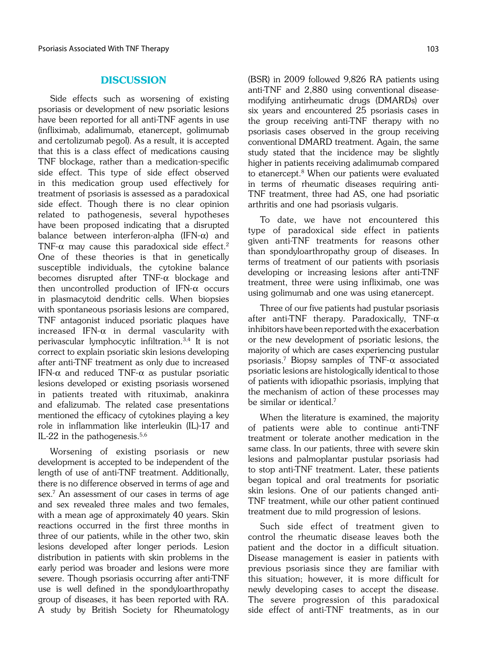### **DISCUSSION**

Side effects such as worsening of existing psoriasis or development of new psoriatic lesions have been reported for all anti-TNF agents in use (infliximab, adalimumab, etanercept, golimumab and certolizumab pegol). As a result, it is accepted that this is a class effect of medications causing TNF blockage, rather than a medication-specific side effect. This type of side effect observed in this medication group used effectively for treatment of psoriasis is assessed as a paradoxical side effect. Though there is no clear opinion related to pathogenesis, several hypotheses have been proposed indicating that a disrupted balance between interferon-alpha (IFN- $\alpha$ ) and TNF- $\alpha$  may cause this paradoxical side effect.<sup>2</sup> One of these theories is that in genetically susceptible individuals, the cytokine balance becomes disrupted after  $TNF-\alpha$  blockage and then uncontrolled production of IFN- $\alpha$  occurs in plasmacytoid dendritic cells. When biopsies with spontaneous psoriasis lesions are compared, TNF antagonist induced psoriatic plaques have increased IFN- $\alpha$  in dermal vascularity with perivascular lymphocytic infiltration.3,4 It is not correct to explain psoriatic skin lesions developing after anti-TNF treatment as only due to increased IFN- $\alpha$  and reduced TNF- $\alpha$  as pustular psoriatic lesions developed or existing psoriasis worsened in patients treated with rituximab, anakinra and efalizumab. The related case presentations mentioned the efficacy of cytokines playing a key role in inflammation like interleukin (IL)-17 and IL-22 in the pathogenesis. $5,6$ 

Worsening of existing psoriasis or new development is accepted to be independent of the length of use of anti-TNF treatment. Additionally, there is no difference observed in terms of age and sex.7 An assessment of our cases in terms of age and sex revealed three males and two females, with a mean age of approximately 40 years. Skin reactions occurred in the first three months in three of our patients, while in the other two, skin lesions developed after longer periods. Lesion distribution in patients with skin problems in the early period was broader and lesions were more severe. Though psoriasis occurring after anti-TNF use is well defined in the spondyloarthropathy group of diseases, it has been reported with RA. A study by British Society for Rheumatology (BSR) in 2009 followed 9,826 RA patients using anti-TNF and 2,880 using conventional diseasemodifying antirheumatic drugs (DMARDs) over six years and encountered 25 psoriasis cases in the group receiving anti-TNF therapy with no psoriasis cases observed in the group receiving conventional DMARD treatment. Again, the same study stated that the incidence may be slightly higher in patients receiving adalimumab compared to etanercept.<sup>8</sup> When our patients were evaluated in terms of rheumatic diseases requiring anti-TNF treatment, three had AS, one had psoriatic arthritis and one had psoriasis vulgaris.

To date, we have not encountered this type of paradoxical side effect in patients given anti-TNF treatments for reasons other than spondyloarthropathy group of diseases. In terms of treatment of our patients with psoriasis developing or increasing lesions after anti-TNF treatment, three were using infliximab, one was using golimumab and one was using etanercept.

Three of our five patients had pustular psoriasis after anti-TNF therapy. Paradoxically, TNF- $\alpha$ inhibitors have been reported with the exacerbation or the new development of psoriatic lesions, the majority of which are cases experiencing pustular psoriasis.<sup>7</sup> Biopsy samples of TNF- $\alpha$  associated psoriatic lesions are histologically identical to those of patients with idiopathic psoriasis, implying that the mechanism of action of these processes may be similar or identical.7

When the literature is examined, the majority of patients were able to continue anti-TNF treatment or tolerate another medication in the same class. In our patients, three with severe skin lesions and palmoplantar pustular psoriasis had to stop anti-TNF treatment. Later, these patients began topical and oral treatments for psoriatic skin lesions. One of our patients changed anti-TNF treatment, while our other patient continued treatment due to mild progression of lesions.

Such side effect of treatment given to control the rheumatic disease leaves both the patient and the doctor in a difficult situation. Disease management is easier in patients with previous psoriasis since they are familiar with this situation; however, it is more difficult for newly developing cases to accept the disease. The severe progression of this paradoxical side effect of anti-TNF treatments, as in our